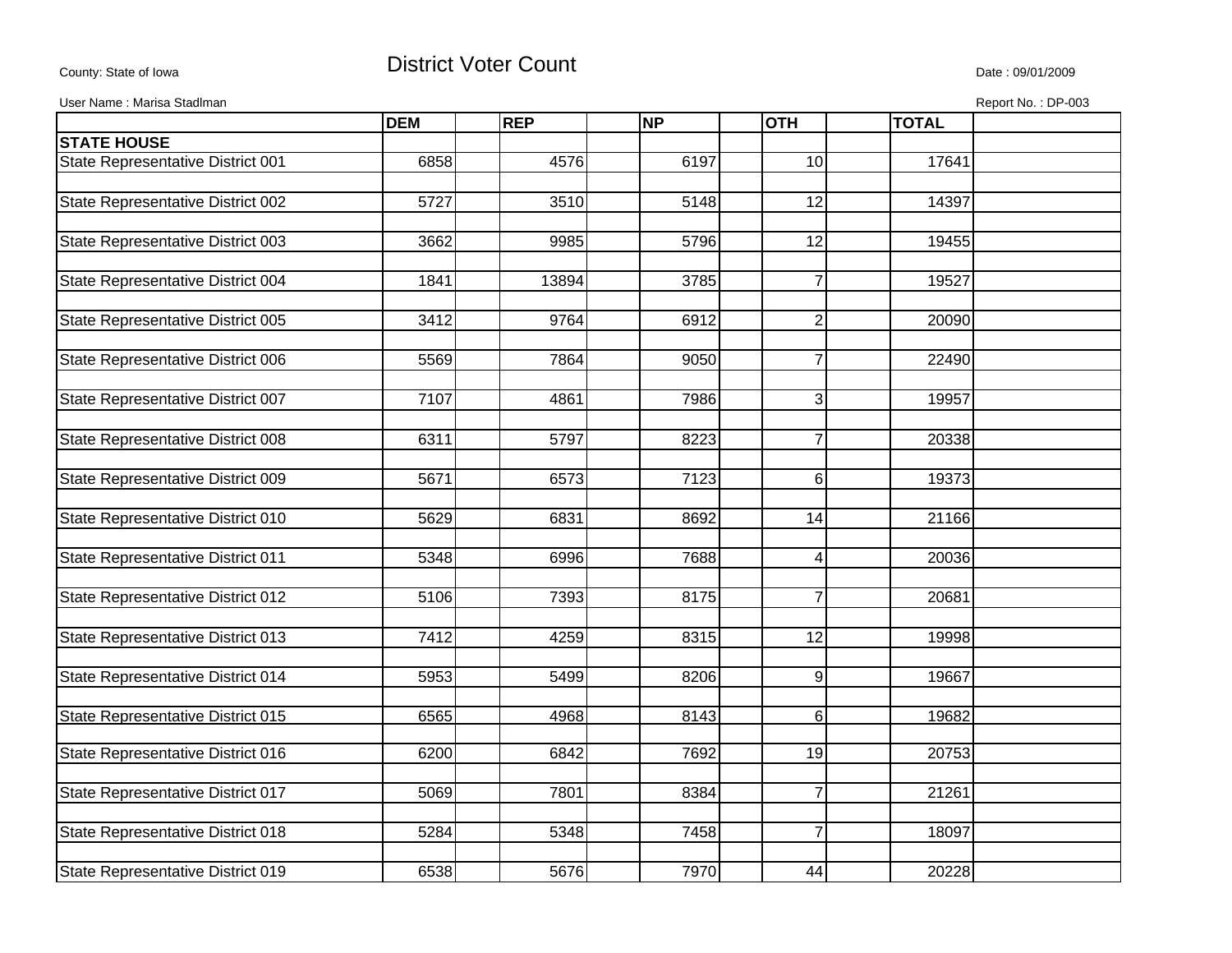## County: State of Iowa **District Voter Count** Description of the United State : 09/01/2009

User Name : Marisa Stadlman Report No. : DP-003

| <b>STATE HOUSE</b><br>State Representative District 001<br>6197<br>10<br>17641<br>6858<br>4576<br>State Representative District 002<br>5727<br>3510<br>5148<br>12<br>14397<br>State Representative District 003<br>3662<br>12<br>9985<br>5796<br>19455<br>State Representative District 004<br>1841<br>3785<br>$\overline{7}$<br>19527<br>13894<br>State Representative District 005<br>9764<br>$\overline{c}$<br>3412<br>6912<br>20090<br>State Representative District 006<br>5569<br>7864<br>9050<br>$\overline{7}$<br>22490<br>State Representative District 007<br>7107<br>4861<br>7986<br>3<br>19957<br>$\overline{7}$<br>5797<br>8223<br>State Representative District 008<br>6311<br>20338<br>State Representative District 009<br>5671<br>6573<br>7123<br>6<br>19373<br>6831<br>14<br>State Representative District 010<br>5629<br>8692<br>21166<br>State Representative District 011<br>7688<br>5348<br>6996<br>4<br>20036<br>State Representative District 012<br>5106<br>7393<br>8175<br>$\overline{7}$<br>20681<br>State Representative District 013<br>7412<br>8315<br>$\overline{12}$<br>4259<br>19998<br>State Representative District 014<br>5953<br>5499<br>8206<br>9<br>19667<br><b>State Representative District 015</b><br>6565<br>4968<br>8143<br>6<br>19682<br>7692<br>19<br>State Representative District 016<br>6200<br>6842<br>20753<br>State Representative District 017<br>8384<br>$\overline{7}$<br>5069<br>7801<br>21261<br>$\overline{7}$<br>State Representative District 018<br>5284<br>5348<br>7458<br>18097<br>State Representative District 019<br>6538<br>5676<br>7970<br>20228<br>44 | <b>DEM</b> | <b>REP</b> | <b>NP</b> | <b>OTH</b> | <b>TOTAL</b> |  |
|----------------------------------------------------------------------------------------------------------------------------------------------------------------------------------------------------------------------------------------------------------------------------------------------------------------------------------------------------------------------------------------------------------------------------------------------------------------------------------------------------------------------------------------------------------------------------------------------------------------------------------------------------------------------------------------------------------------------------------------------------------------------------------------------------------------------------------------------------------------------------------------------------------------------------------------------------------------------------------------------------------------------------------------------------------------------------------------------------------------------------------------------------------------------------------------------------------------------------------------------------------------------------------------------------------------------------------------------------------------------------------------------------------------------------------------------------------------------------------------------------------------------------------------------------------------------------------------------------------------------------|------------|------------|-----------|------------|--------------|--|
|                                                                                                                                                                                                                                                                                                                                                                                                                                                                                                                                                                                                                                                                                                                                                                                                                                                                                                                                                                                                                                                                                                                                                                                                                                                                                                                                                                                                                                                                                                                                                                                                                            |            |            |           |            |              |  |
|                                                                                                                                                                                                                                                                                                                                                                                                                                                                                                                                                                                                                                                                                                                                                                                                                                                                                                                                                                                                                                                                                                                                                                                                                                                                                                                                                                                                                                                                                                                                                                                                                            |            |            |           |            |              |  |
|                                                                                                                                                                                                                                                                                                                                                                                                                                                                                                                                                                                                                                                                                                                                                                                                                                                                                                                                                                                                                                                                                                                                                                                                                                                                                                                                                                                                                                                                                                                                                                                                                            |            |            |           |            |              |  |
|                                                                                                                                                                                                                                                                                                                                                                                                                                                                                                                                                                                                                                                                                                                                                                                                                                                                                                                                                                                                                                                                                                                                                                                                                                                                                                                                                                                                                                                                                                                                                                                                                            |            |            |           |            |              |  |
|                                                                                                                                                                                                                                                                                                                                                                                                                                                                                                                                                                                                                                                                                                                                                                                                                                                                                                                                                                                                                                                                                                                                                                                                                                                                                                                                                                                                                                                                                                                                                                                                                            |            |            |           |            |              |  |
|                                                                                                                                                                                                                                                                                                                                                                                                                                                                                                                                                                                                                                                                                                                                                                                                                                                                                                                                                                                                                                                                                                                                                                                                                                                                                                                                                                                                                                                                                                                                                                                                                            |            |            |           |            |              |  |
|                                                                                                                                                                                                                                                                                                                                                                                                                                                                                                                                                                                                                                                                                                                                                                                                                                                                                                                                                                                                                                                                                                                                                                                                                                                                                                                                                                                                                                                                                                                                                                                                                            |            |            |           |            |              |  |
|                                                                                                                                                                                                                                                                                                                                                                                                                                                                                                                                                                                                                                                                                                                                                                                                                                                                                                                                                                                                                                                                                                                                                                                                                                                                                                                                                                                                                                                                                                                                                                                                                            |            |            |           |            |              |  |
|                                                                                                                                                                                                                                                                                                                                                                                                                                                                                                                                                                                                                                                                                                                                                                                                                                                                                                                                                                                                                                                                                                                                                                                                                                                                                                                                                                                                                                                                                                                                                                                                                            |            |            |           |            |              |  |
|                                                                                                                                                                                                                                                                                                                                                                                                                                                                                                                                                                                                                                                                                                                                                                                                                                                                                                                                                                                                                                                                                                                                                                                                                                                                                                                                                                                                                                                                                                                                                                                                                            |            |            |           |            |              |  |
|                                                                                                                                                                                                                                                                                                                                                                                                                                                                                                                                                                                                                                                                                                                                                                                                                                                                                                                                                                                                                                                                                                                                                                                                                                                                                                                                                                                                                                                                                                                                                                                                                            |            |            |           |            |              |  |
|                                                                                                                                                                                                                                                                                                                                                                                                                                                                                                                                                                                                                                                                                                                                                                                                                                                                                                                                                                                                                                                                                                                                                                                                                                                                                                                                                                                                                                                                                                                                                                                                                            |            |            |           |            |              |  |
|                                                                                                                                                                                                                                                                                                                                                                                                                                                                                                                                                                                                                                                                                                                                                                                                                                                                                                                                                                                                                                                                                                                                                                                                                                                                                                                                                                                                                                                                                                                                                                                                                            |            |            |           |            |              |  |
|                                                                                                                                                                                                                                                                                                                                                                                                                                                                                                                                                                                                                                                                                                                                                                                                                                                                                                                                                                                                                                                                                                                                                                                                                                                                                                                                                                                                                                                                                                                                                                                                                            |            |            |           |            |              |  |
|                                                                                                                                                                                                                                                                                                                                                                                                                                                                                                                                                                                                                                                                                                                                                                                                                                                                                                                                                                                                                                                                                                                                                                                                                                                                                                                                                                                                                                                                                                                                                                                                                            |            |            |           |            |              |  |
|                                                                                                                                                                                                                                                                                                                                                                                                                                                                                                                                                                                                                                                                                                                                                                                                                                                                                                                                                                                                                                                                                                                                                                                                                                                                                                                                                                                                                                                                                                                                                                                                                            |            |            |           |            |              |  |
|                                                                                                                                                                                                                                                                                                                                                                                                                                                                                                                                                                                                                                                                                                                                                                                                                                                                                                                                                                                                                                                                                                                                                                                                                                                                                                                                                                                                                                                                                                                                                                                                                            |            |            |           |            |              |  |
|                                                                                                                                                                                                                                                                                                                                                                                                                                                                                                                                                                                                                                                                                                                                                                                                                                                                                                                                                                                                                                                                                                                                                                                                                                                                                                                                                                                                                                                                                                                                                                                                                            |            |            |           |            |              |  |
|                                                                                                                                                                                                                                                                                                                                                                                                                                                                                                                                                                                                                                                                                                                                                                                                                                                                                                                                                                                                                                                                                                                                                                                                                                                                                                                                                                                                                                                                                                                                                                                                                            |            |            |           |            |              |  |
|                                                                                                                                                                                                                                                                                                                                                                                                                                                                                                                                                                                                                                                                                                                                                                                                                                                                                                                                                                                                                                                                                                                                                                                                                                                                                                                                                                                                                                                                                                                                                                                                                            |            |            |           |            |              |  |
|                                                                                                                                                                                                                                                                                                                                                                                                                                                                                                                                                                                                                                                                                                                                                                                                                                                                                                                                                                                                                                                                                                                                                                                                                                                                                                                                                                                                                                                                                                                                                                                                                            |            |            |           |            |              |  |
|                                                                                                                                                                                                                                                                                                                                                                                                                                                                                                                                                                                                                                                                                                                                                                                                                                                                                                                                                                                                                                                                                                                                                                                                                                                                                                                                                                                                                                                                                                                                                                                                                            |            |            |           |            |              |  |
|                                                                                                                                                                                                                                                                                                                                                                                                                                                                                                                                                                                                                                                                                                                                                                                                                                                                                                                                                                                                                                                                                                                                                                                                                                                                                                                                                                                                                                                                                                                                                                                                                            |            |            |           |            |              |  |
|                                                                                                                                                                                                                                                                                                                                                                                                                                                                                                                                                                                                                                                                                                                                                                                                                                                                                                                                                                                                                                                                                                                                                                                                                                                                                                                                                                                                                                                                                                                                                                                                                            |            |            |           |            |              |  |
|                                                                                                                                                                                                                                                                                                                                                                                                                                                                                                                                                                                                                                                                                                                                                                                                                                                                                                                                                                                                                                                                                                                                                                                                                                                                                                                                                                                                                                                                                                                                                                                                                            |            |            |           |            |              |  |
|                                                                                                                                                                                                                                                                                                                                                                                                                                                                                                                                                                                                                                                                                                                                                                                                                                                                                                                                                                                                                                                                                                                                                                                                                                                                                                                                                                                                                                                                                                                                                                                                                            |            |            |           |            |              |  |
|                                                                                                                                                                                                                                                                                                                                                                                                                                                                                                                                                                                                                                                                                                                                                                                                                                                                                                                                                                                                                                                                                                                                                                                                                                                                                                                                                                                                                                                                                                                                                                                                                            |            |            |           |            |              |  |
|                                                                                                                                                                                                                                                                                                                                                                                                                                                                                                                                                                                                                                                                                                                                                                                                                                                                                                                                                                                                                                                                                                                                                                                                                                                                                                                                                                                                                                                                                                                                                                                                                            |            |            |           |            |              |  |
|                                                                                                                                                                                                                                                                                                                                                                                                                                                                                                                                                                                                                                                                                                                                                                                                                                                                                                                                                                                                                                                                                                                                                                                                                                                                                                                                                                                                                                                                                                                                                                                                                            |            |            |           |            |              |  |
|                                                                                                                                                                                                                                                                                                                                                                                                                                                                                                                                                                                                                                                                                                                                                                                                                                                                                                                                                                                                                                                                                                                                                                                                                                                                                                                                                                                                                                                                                                                                                                                                                            |            |            |           |            |              |  |
|                                                                                                                                                                                                                                                                                                                                                                                                                                                                                                                                                                                                                                                                                                                                                                                                                                                                                                                                                                                                                                                                                                                                                                                                                                                                                                                                                                                                                                                                                                                                                                                                                            |            |            |           |            |              |  |
|                                                                                                                                                                                                                                                                                                                                                                                                                                                                                                                                                                                                                                                                                                                                                                                                                                                                                                                                                                                                                                                                                                                                                                                                                                                                                                                                                                                                                                                                                                                                                                                                                            |            |            |           |            |              |  |
|                                                                                                                                                                                                                                                                                                                                                                                                                                                                                                                                                                                                                                                                                                                                                                                                                                                                                                                                                                                                                                                                                                                                                                                                                                                                                                                                                                                                                                                                                                                                                                                                                            |            |            |           |            |              |  |
|                                                                                                                                                                                                                                                                                                                                                                                                                                                                                                                                                                                                                                                                                                                                                                                                                                                                                                                                                                                                                                                                                                                                                                                                                                                                                                                                                                                                                                                                                                                                                                                                                            |            |            |           |            |              |  |
|                                                                                                                                                                                                                                                                                                                                                                                                                                                                                                                                                                                                                                                                                                                                                                                                                                                                                                                                                                                                                                                                                                                                                                                                                                                                                                                                                                                                                                                                                                                                                                                                                            |            |            |           |            |              |  |
|                                                                                                                                                                                                                                                                                                                                                                                                                                                                                                                                                                                                                                                                                                                                                                                                                                                                                                                                                                                                                                                                                                                                                                                                                                                                                                                                                                                                                                                                                                                                                                                                                            |            |            |           |            |              |  |
|                                                                                                                                                                                                                                                                                                                                                                                                                                                                                                                                                                                                                                                                                                                                                                                                                                                                                                                                                                                                                                                                                                                                                                                                                                                                                                                                                                                                                                                                                                                                                                                                                            |            |            |           |            |              |  |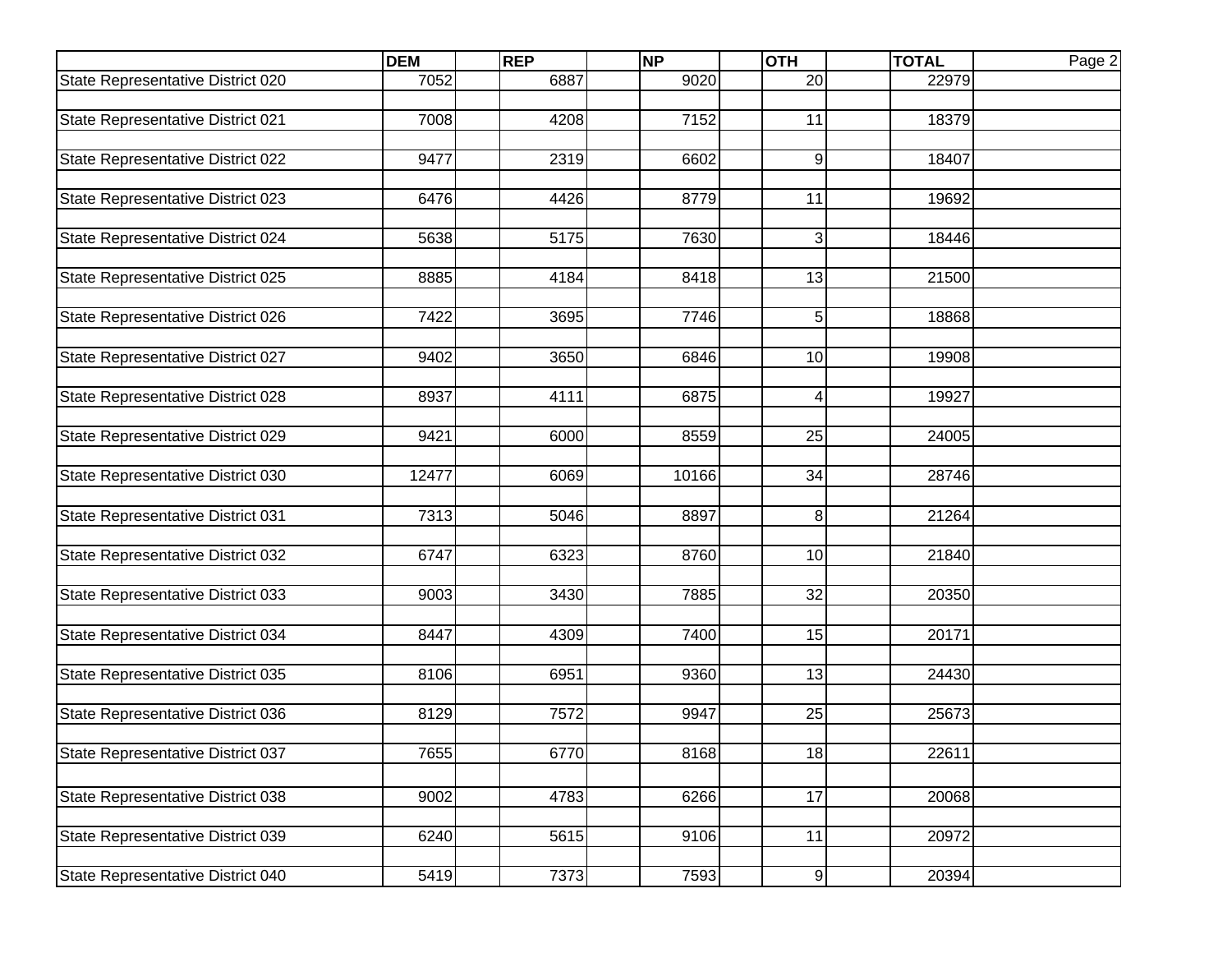|                                   | <b>DEM</b> | <b>REP</b> | <b>NP</b> | <b>OTH</b>       | <b>TOTAL</b> | Page 2 |
|-----------------------------------|------------|------------|-----------|------------------|--------------|--------|
| State Representative District 020 | 7052       | 6887       | 9020      | $\overline{20}$  | 22979        |        |
|                                   |            |            |           |                  |              |        |
| State Representative District 021 | 7008       | 4208       | 7152      | 11               | 18379        |        |
|                                   |            |            |           |                  |              |        |
| State Representative District 022 | 9477       | 2319       | 6602      | 9                | 18407        |        |
|                                   |            |            |           |                  |              |        |
| State Representative District 023 | 6476       | 4426       | 8779      | 11               | 19692        |        |
| State Representative District 024 | 5638       | 5175       | 7630      | 3                | 18446        |        |
|                                   |            |            |           |                  |              |        |
| State Representative District 025 | 8885       | 4184       | 8418      | 13               | 21500        |        |
|                                   |            |            |           |                  |              |        |
| State Representative District 026 | 7422       | 3695       | 7746      | 5                | 18868        |        |
|                                   |            |            |           |                  |              |        |
| State Representative District 027 | 9402       | 3650       | 6846      | 10               | 19908        |        |
|                                   |            |            |           |                  |              |        |
| State Representative District 028 | 8937       | 4111       | 6875      | 4                | 19927        |        |
|                                   |            |            |           |                  |              |        |
| State Representative District 029 | 9421       | 6000       | 8559      | 25               | 24005        |        |
|                                   |            |            |           |                  |              |        |
| State Representative District 030 | 12477      | 6069       | 10166     | 34               | 28746        |        |
|                                   |            |            |           |                  |              |        |
| State Representative District 031 | 7313       | 5046       | 8897      | 8                | 21264        |        |
| State Representative District 032 | 6747       | 6323       | 8760      | 10               | 21840        |        |
|                                   |            |            |           |                  |              |        |
| State Representative District 033 | 9003       | 3430       | 7885      | 32               | 20350        |        |
|                                   |            |            |           |                  |              |        |
| State Representative District 034 | 8447       | 4309       | 7400      | 15               | 20171        |        |
|                                   |            |            |           |                  |              |        |
| State Representative District 035 | 8106       | 6951       | 9360      | 13               | 24430        |        |
|                                   |            |            |           |                  |              |        |
| State Representative District 036 | 8129       | 7572       | 9947      | 25               | 25673        |        |
|                                   |            |            |           |                  |              |        |
| State Representative District 037 | 7655       | 6770       | 8168      | 18               | 22611        |        |
|                                   |            |            |           |                  |              |        |
| State Representative District 038 | 9002       | 4783       | 6266      | 17               | 20068        |        |
|                                   |            |            |           |                  |              |        |
| State Representative District 039 | 6240       | 5615       | 9106      | 11               | 20972        |        |
|                                   |            |            |           |                  |              |        |
| State Representative District 040 | 5419       | 7373       | 7593      | $\boldsymbol{9}$ | 20394        |        |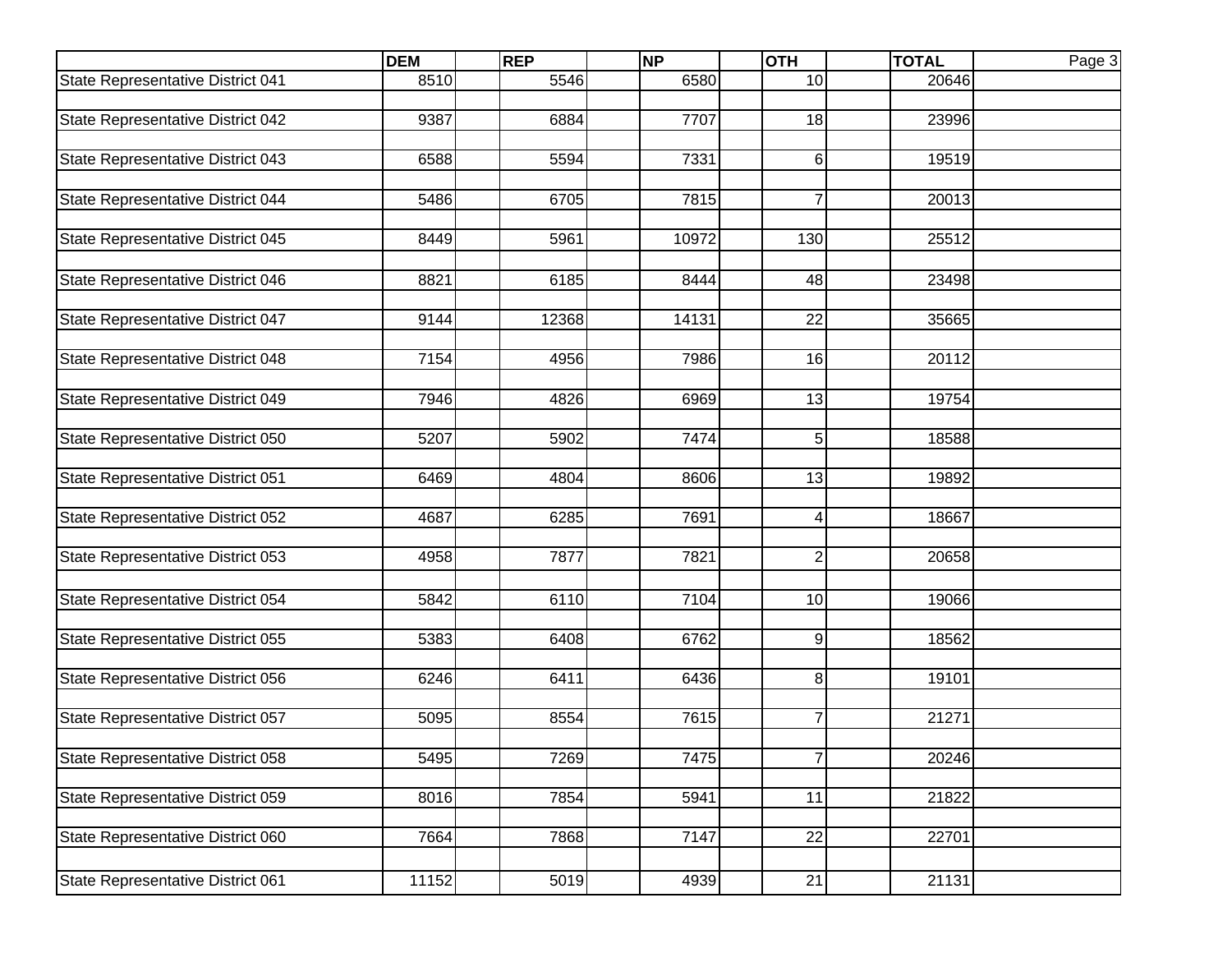|                                   | <b>DEM</b> | <b>REP</b> | <b>NP</b> | <b>OTH</b>      | <b>TOTAL</b> | Page 3 |
|-----------------------------------|------------|------------|-----------|-----------------|--------------|--------|
| State Representative District 041 | 8510       | 5546       | 6580      | 10              | 20646        |        |
|                                   |            |            |           |                 |              |        |
| State Representative District 042 | 9387       | 6884       | 7707      | 18              | 23996        |        |
|                                   |            |            |           |                 |              |        |
| State Representative District 043 | 6588       | 5594       | 7331      | 6               | 19519        |        |
| State Representative District 044 | 5486       | 6705       | 7815      | $\overline{7}$  | 20013        |        |
|                                   |            |            |           |                 |              |        |
| State Representative District 045 | 8449       | 5961       | 10972     | 130             | 25512        |        |
|                                   |            |            |           |                 |              |        |
| State Representative District 046 | 8821       | 6185       | 8444      | 48              | 23498        |        |
|                                   |            |            |           |                 |              |        |
| State Representative District 047 | 9144       | 12368      | 14131     | $\overline{22}$ | 35665        |        |
|                                   |            |            |           |                 |              |        |
| State Representative District 048 | 7154       | 4956       | 7986      | 16              | 20112        |        |
|                                   | 7946       | 4826       | 6969      | 13              | 19754        |        |
| State Representative District 049 |            |            |           |                 |              |        |
| State Representative District 050 | 5207       | 5902       | 7474      | 5               | 18588        |        |
|                                   |            |            |           |                 |              |        |
| State Representative District 051 | 6469       | 4804       | 8606      | 13              | 19892        |        |
|                                   |            |            |           |                 |              |        |
| State Representative District 052 | 4687       | 6285       | 7691      | 4               | 18667        |        |
|                                   |            |            |           |                 |              |        |
| State Representative District 053 | 4958       | 7877       | 7821      | $\overline{2}$  | 20658        |        |
|                                   |            |            |           |                 |              |        |
| State Representative District 054 | 5842       | 6110       | 7104      | 10              | 19066        |        |
| State Representative District 055 | 5383       | 6408       | 6762      | 9               | 18562        |        |
|                                   |            |            |           |                 |              |        |
| State Representative District 056 | 6246       | 6411       | 6436      | 8               | 19101        |        |
|                                   |            |            |           |                 |              |        |
| State Representative District 057 | 5095       | 8554       | 7615      | 7               | 21271        |        |
|                                   |            |            |           |                 |              |        |
| State Representative District 058 | 5495       | 7269       | 7475      | 7 <sup>1</sup>  | 20246        |        |
|                                   |            |            |           |                 |              |        |
| State Representative District 059 | 8016       | 7854       | 5941      | 11              | 21822        |        |
| State Representative District 060 | 7664       | 7868       | 7147      | 22              | 22701        |        |
|                                   |            |            |           |                 |              |        |
| State Representative District 061 | 11152      | 5019       | 4939      | $\overline{21}$ | 21131        |        |
|                                   |            |            |           |                 |              |        |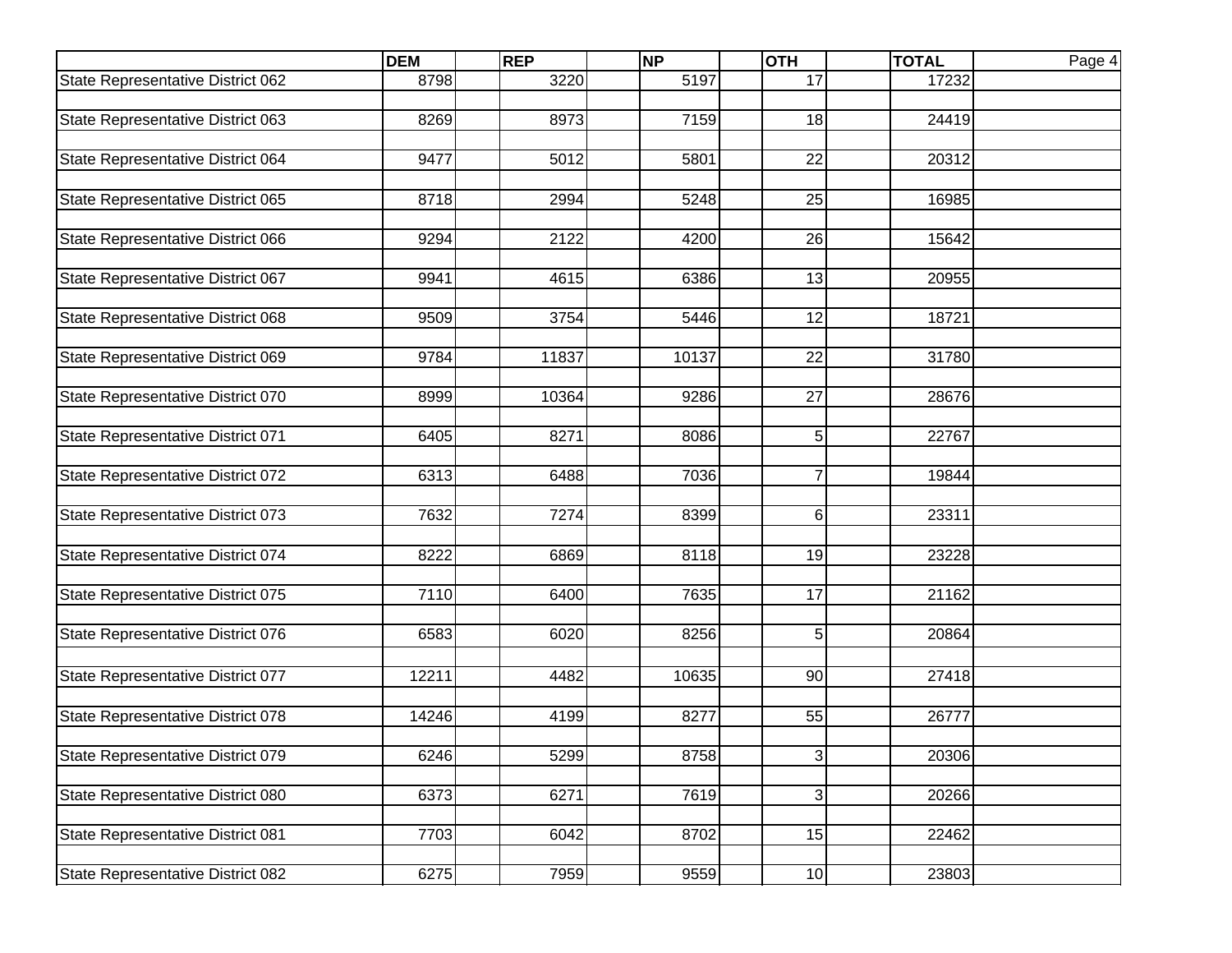|                                   | <b>DEM</b> | <b>REP</b> | <b>NP</b> | <b>OTH</b>      | <b>TOTAL</b> | Page 4 |
|-----------------------------------|------------|------------|-----------|-----------------|--------------|--------|
| State Representative District 062 | 8798       | 3220       | 5197      | 17              | 17232        |        |
|                                   |            |            |           |                 |              |        |
| State Representative District 063 | 8269       | 8973       | 7159      | 18              | 24419        |        |
|                                   |            |            |           |                 |              |        |
| State Representative District 064 | 9477       | 5012       | 5801      | 22              | 20312        |        |
|                                   |            |            |           |                 |              |        |
| State Representative District 065 | 8718       | 2994       | 5248      | 25              | 16985        |        |
|                                   |            | 2122       |           |                 |              |        |
| State Representative District 066 | 9294       |            | 4200      | 26              | 15642        |        |
| State Representative District 067 | 9941       | 4615       | 6386      | 13              | 20955        |        |
|                                   |            |            |           |                 |              |        |
| State Representative District 068 | 9509       | 3754       | 5446      | 12              | 18721        |        |
|                                   |            |            |           |                 |              |        |
| State Representative District 069 | 9784       | 11837      | 10137     | $\overline{22}$ | 31780        |        |
|                                   |            |            |           |                 |              |        |
| State Representative District 070 | 8999       | 10364      | 9286      | 27              | 28676        |        |
|                                   |            |            |           |                 |              |        |
| State Representative District 071 | 6405       | 8271       | 8086      | 5               | 22767        |        |
|                                   |            |            |           |                 |              |        |
| State Representative District 072 | 6313       | 6488       | 7036      | $\overline{7}$  | 19844        |        |
|                                   |            |            |           |                 |              |        |
| State Representative District 073 | 7632       | 7274       | 8399      | 6               | 23311        |        |
|                                   | 8222       | 6869       | 8118      | 19              | 23228        |        |
| State Representative District 074 |            |            |           |                 |              |        |
| State Representative District 075 | 7110       | 6400       | 7635      | 17              | 21162        |        |
|                                   |            |            |           |                 |              |        |
| State Representative District 076 | 6583       | 6020       | 8256      | 5               | 20864        |        |
|                                   |            |            |           |                 |              |        |
| State Representative District 077 | 12211      | 4482       | 10635     | 90              | 27418        |        |
|                                   |            |            |           |                 |              |        |
| State Representative District 078 | 14246      | 4199       | 8277      | 55              | 26777        |        |
|                                   |            |            |           |                 |              |        |
| State Representative District 079 | 6246       | 5299       | 8758      | 3               | 20306        |        |
|                                   |            |            |           |                 |              |        |
| State Representative District 080 | 6373       | 6271       | 7619      | $\overline{3}$  | 20266        |        |
|                                   |            |            |           |                 |              |        |
| State Representative District 081 | 7703       | 6042       | 8702      | 15              | 22462        |        |
|                                   |            |            |           |                 |              |        |
| State Representative District 082 | 6275       | 7959       | 9559      | 10              | 23803        |        |